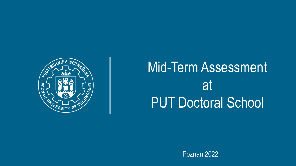

# Mid-Term Assessment at PUT Doctoral School

Poznan 2022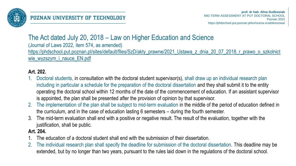

# The Act dated July 20, 2018 – Law on Higher Education and Science

(Journal of Laws 2022, item 574, as amended) [https://phdschool.put.poznan.pl/sites/default/files/SzD/akty\\_prawne/2021\\_Ustawa\\_z\\_dnia\\_20\\_07\\_2018\\_r\\_prawo\\_o\\_szkolnict](https://phdschool.put.poznan.pl/sites/default/files/SzD/akty_prawne/2021_Ustawa_z_dnia_20_07_2018_r_prawo_o_szkolnictwie_wyzszym_i_nauce_EN.pdf) wie\_wyzszym\_i\_nauce\_EN.pdf

### **Art. 202.**

- 1. Doctoral students, in consultation with the doctoral student supervisor(s), shall draw up an individual research plan including in particular a schedule for the preparation of the doctoral dissertation and they shall submit it to the entity operating the doctoral school within 12 months of the date of the commencement of education. If an assistant supervisor is appointed, the plan shall be presented after the provision of opinion by that supervisor.
- 2. The implementation of the plan shall be subject to mid-term evaluation in the middle of the period of education defined in the curriculum, and in the case of education lasting 6 semesters – during the fourth semester.
- 3. The mid-term evaluation shall end with a positive or negative result. The result of the evaluation, together with the justification, shall be public.

#### **Art. 204.**

- 1. The education of a doctoral student shall end with the submission of their dissertation.
- 2. The individual research plan shall specify the deadline for submission of the doctoral dissertation. This deadline may be extended, but by no longer than two years, pursuant to the rules laid down in the regulations of the doctoral school.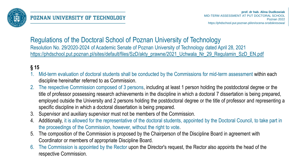

### Regulations of the Doctoral School of Poznan University of Technology Resolution No. 29/2020-2024 of Academic Senate of Poznan University of Technology dated April 28, 2021 [https://phdschool.put.poznan.pl/sites/default/files/SzD/akty\\_prawne/2021\\_Uchwala\\_Nr\\_29\\_Regulamin\\_SzD\\_EN.pdf](https://phdschool.put.poznan.pl/sites/default/files/SzD/akty_prawne/2021_Uchwala_Nr_29_Regulamin_SzD_EN.pdf)

## **§ 15**

- 1. Mid-term evaluation of doctoral students shall be conducted by the Commissions for mid-term assessment within each discipline hereinafter referred to as Commission.
- 2. The respective Commission composed of 3 persons, including at least 1 person holding the postdoctoral degree or the title of professor possessing research achievements in the discipline in which a doctoral 7 dissertation is being prepared, employed outside the University and 2 persons holding the postdoctoral degree or the title of professor and representing a specific discipline in which a doctoral dissertation is being prepared.
- 3. Supervisor and auxiliary supervisor must not be members of the Commission.
- 4. Additionally, it is allowed for the representative of the doctoral students, appointed by the Doctoral Council, to take part in the proceedings of the Commission, however, without the right to vote.
- 5. The composition of the Commission is proposed by the Chairperson of the Discipline Board in agreement with Coordinator or members of appropriate Discipline Board.
- 6. The Commission is appointed by the Rector upon the Director's request, the Rector also appoints the head of the respective Commission.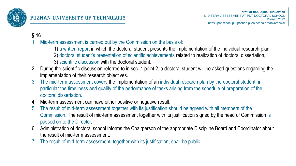

#### **§ 16**

- Mid-term assessment is carried out by the Commission on the basis of:
	- 1) a written report in which the doctoral student presents the implementation of the individual research plan,
	- 2) doctoral student's presentation of scientific achievements related to realization of doctoral dissertation,
	- 3) scientific discussion with the doctoral student.
- 2. During the scientific discussion referred to in sec. 1 point 2, a doctoral student will be asked questions regarding the implementation of their research objectives.
- 3. The mid-term assessment covers the implementation of an individual research plan by the doctoral student, in particular the timeliness and quality of the performance of tasks arising from the schedule of preparation of the doctoral dissertation.
- 4. Mid-term assessment can have either positive or negative result.
- 5. The result of mid-term assessment together with its justification should be agreed with all members of the Commission. The result of mid-term assessment together with its justification signed by the head of Commission is passed on to the Director.
- 6. Administration of doctoral school informs the Chairperson of the appropriate Discipline Board and Coordinator about the result of mid-term assessment.
- The result of mid-term assessment, together with its justification, shall be public.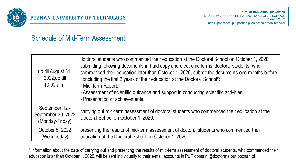

### POZNAN UNIVERSITY OF TECHNOLOGY

## Schedule of Mid-Term Assessment

| up till August 31,<br>2022, up till<br>10.00 a.m.       | doctoral students who commenced their education at the Doctoral School on October 1, 2020<br>submitting following documents in hard copy and electronic forms; doctoral students, who<br>commenced their education later than October 1, 2020, submit the documents one months before<br>concluding the first 2 years of their education at the Doctoral School*:<br>- Mid-Term Report,<br>- Assessment of scientific guidance and support in conducting scientific activities,<br>- Presentation of achievements, |
|---------------------------------------------------------|--------------------------------------------------------------------------------------------------------------------------------------------------------------------------------------------------------------------------------------------------------------------------------------------------------------------------------------------------------------------------------------------------------------------------------------------------------------------------------------------------------------------|
| September 12 -<br>September 30, 2022<br>(Monday-Friday) | carrying out mid-term assessment of doctoral students who commenced their education at the<br>Doctoral School on October 1, 2020,                                                                                                                                                                                                                                                                                                                                                                                  |
| October 5, 2022<br>(Wednesday)                          | presenting the results of mid-term assessment of doctoral students who commenced their<br>education at the Doctoral School on October 1, 2020.                                                                                                                                                                                                                                                                                                                                                                     |

\* information about the date of carrying out and presenting the results of mid-term assessment of doctoral students, who commenced their education later than October 1, 2020, will be sent individually to their e-mail accounts in PUT domain @doctorate.put.poznan.pl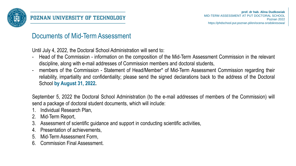

## Documents of Mid-Term Assessment

Until July 4, 2022, the Doctoral School Administration will send to:

- Head of the Commission information on the composition of the Mid-Term Assessment Commission in the relevant discipline, along with e-mail addresses of Commission members and doctoral students,
- members of the Commission Statement of Head/Member\* of Mid-Term Assessment Commission regarding their reliability, impartiality and confidentiality; please send the signed declarations back to the address of the Doctoral School **by August 31, 2022.**

September 5, 2022 the Doctoral School Administration (to the e-mail addresses of members of the Commission) will send a package of doctoral student documents, which will include:

- 1. Individual Research Plan,
- 2. Mid-Term Report,
- 3. Assessment of scientific guidance and support in conducting scientific activities,
- 4. Presentation of achievements,
- 5. Mid-Term Assessment Form,
- 6. Commission Final Assessment.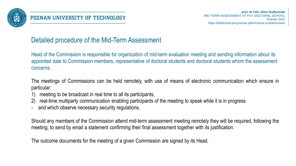

## Detailed procedure of the Mid-Term Assessment

Head of the Commission is responsible for organization of mid-term evaluation meeting and sending information about its appointed date to Commission members, representative of doctoral students and doctoral students whom the assessment concerns.

The meetings of Commissions can be held remotely, with use of means of electronic communication which ensure in particular:

- 1) meeting to be broadcast in real time to all its participants,
- 2) real-time multiparty communication enabling participants of the meeting to speak while it is in progress
- and which observe necessary security regulations.

Should any members of the Commission attend mid-term assessment meeting remotely they will be required, following the meeting, to send by email a statement confirming their final assessment together with its justification.

The outcome documents for the meeting of a given Commission are signed by its Head.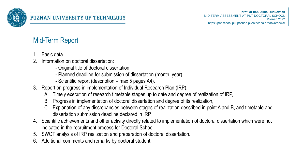

# Mid-Term Report

- 1. Basic data.
- 2. Information on doctoral dissertation:
	- Original title of doctoral dissertation,
	- Planned deadline for submission of dissertation (month, year),
	- Scientific report (description max 5 pages A4).
- 3. Report on progress in implementation of Individual Research Plan (IRP):
	- A. Timely execution of research timetable stages up to date and degree of realization of IRP,
	- B. Progress in implementation of doctoral dissertation and degree of its realization,
	- C. Explanation of any discrepancies between stages of realization described in point A and B, and timetable and dissertation submission deadline declared in IRP.
- 4. Scientific achievements and other activity directly related to implementation of doctoral dissertation which were not indicated in the recruitment process for Doctoral School.
- 5. SWOT analysis of IRP realization and preparation of doctoral dissertation.
- 6. Additional comments and remarks by doctoral student.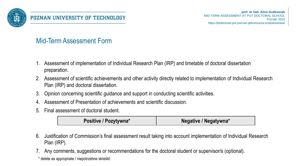

# Mid-Term Assessment Form

- 1. Assessment of implementation of Individual Research Plan (IRP) and timetable of doctoral dissertation preparation.
- 2. Assessment of scientific achievements and other activity directly related to implementation of Individual Research Plan (IRP) and doctoral dissertation.
- 3. Opinion concerning scientific guidance and support in conducting scientific activities.
- 4. Assessment of Presentation of achievements and scientific discussion.
- 5. Final assessment of doctoral student.

| <b>Positive / Pozytywna*</b> | Negative / Negatywna* |
|------------------------------|-----------------------|
|------------------------------|-----------------------|

- 6. Justification of Commission's final assessment result taking into account implementation of Individual Research Plan (IRP).
- 7. Any comments, suggestions or recommendations for the doctoral student or supervisor/s (optional).
- \* delete as appropriate / niepotrzebne skreślić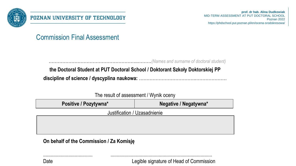

Commission Final Assessment

…………………………………………………..………*(Names and surname of doctoral student)*

**the Doctoral Student at PUT Doctoral School / Doktorant Szkoły Doktorskiej PP discipline of science / dyscyplina naukowa:** ……………………………….…………………

The result of assessment / Wynik oceny

**Positive** / Pozytywna\* **Negative** / Negative / Negatywna\*

Justification / Uzasadnienie

....................................... ................................................................................

**On behalf of the Commission / Za Komisję**

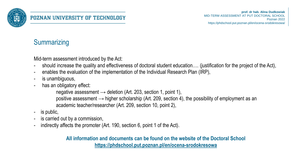

## **Summarizing**

Mid-term assessment introduced by the Act:

- should increase the quality and effectiveness of doctoral student education…. (justification for the project of the Act),
- enables the evaluation of the implementation of the Individual Research Plan (IRP),
- is unambiguous,
- has an obligatory effect:

```
negative assessment \rightarrow deletion (Art. 203, section 1, point 1),
positive assessment \rightarrow higher scholarship (Art. 209, section 4), the possibility of employment as an
academic teacher/researcher (Art. 209, section 10, point 2),
```
- is public,
- is carried out by a commission,
- indirectly affects the promoter (Art. 190, section 6, point 1 of the Act).

#### **All information and documents can be found on the website of the Doctoral School <https://phdschool.put.poznan.pl/en/ocena-srodokresowa>**